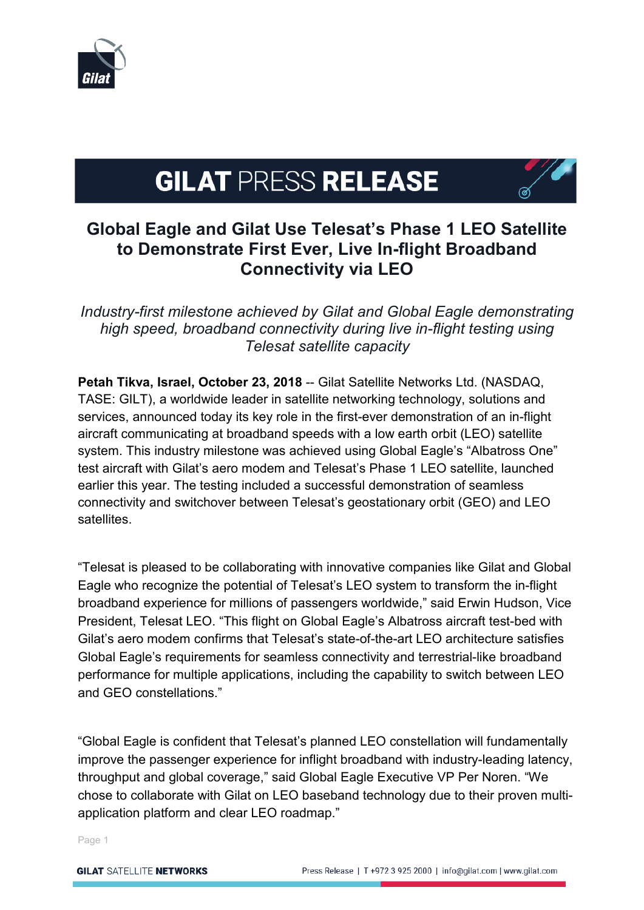

# **GILAT PRESS RELEASE**

## **Global Eagle and Gilat Use Telesat's Phase 1 LEO Satellite to Demonstrate First Ever, Live In-flight Broadband Connectivity via LEO**

*Industry-first milestone achieved by Gilat and Global Eagle demonstrating high speed, broadband connectivity during live in-flight testing using Telesat satellite capacity*

**Petah Tikva, Israel, October 23, 2018** -- Gilat Satellite Networks Ltd. (NASDAQ, TASE: GILT), a worldwide leader in satellite networking technology, solutions and services, announced today its key role in the first-ever demonstration of an in-flight aircraft communicating at broadband speeds with a low earth orbit (LEO) satellite system. This industry milestone was achieved using Global Eagle's "Albatross One" test aircraft with Gilat's aero modem and Telesat's Phase 1 LEO satellite, launched earlier this year. The testing included a successful demonstration of seamless connectivity and switchover between Telesat's geostationary orbit (GEO) and LEO **satellites** 

"Telesat is pleased to be collaborating with innovative companies like Gilat and Global Eagle who recognize the potential of Telesat's LEO system to transform the in-flight broadband experience for millions of passengers worldwide," said Erwin Hudson, Vice President, Telesat LEO. "This flight on Global Eagle's Albatross aircraft test-bed with Gilat's aero modem confirms that Telesat's state-of-the-art LEO architecture satisfies Global Eagle's requirements for seamless connectivity and terrestrial-like broadband performance for multiple applications, including the capability to switch between LEO and GEO constellations."

"Global Eagle is confident that Telesat's planned LEO constellation will fundamentally improve the passenger experience for inflight broadband with industry-leading latency, throughput and global coverage," said Global Eagle Executive VP Per Noren. "We chose to collaborate with Gilat on LEO baseband technology due to their proven multiapplication platform and clear LEO roadmap."

Page 1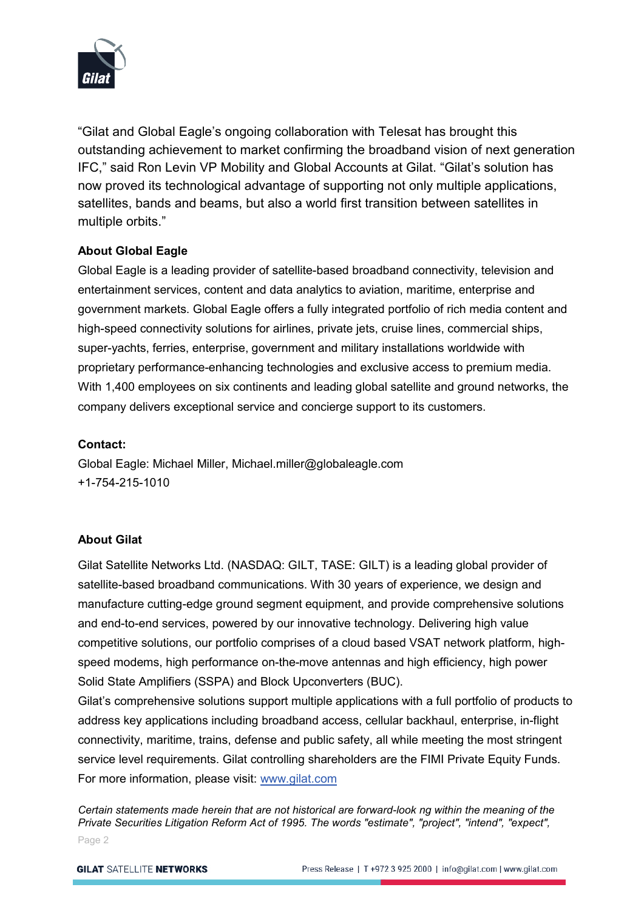

"Gilat and Global Eagle's ongoing collaboration with Telesat has brought this outstanding achievement to market confirming the broadband vision of next generation IFC," said Ron Levin VP Mobility and Global Accounts at Gilat. "Gilat's solution has now proved its technological advantage of supporting not only multiple applications, satellites, bands and beams, but also a world first transition between satellites in multiple orbits."

#### **About Global Eagle**

Global Eagle is a leading provider of satellite-based broadband connectivity, television and entertainment services, content and data analytics to aviation, maritime, enterprise and government markets. Global Eagle offers a fully integrated portfolio of rich media content and high-speed connectivity solutions for airlines, private jets, cruise lines, commercial ships, super-yachts, ferries, enterprise, government and military installations worldwide with proprietary performance-enhancing technologies and exclusive access to premium media. With 1,400 employees on six continents and leading global satellite and ground networks, the company delivers exceptional service and concierge support to its customers.

#### **Contact:**

Global Eagle: Michael Miller, Michael.miller@globaleagle.com +1-754-215-1010

### **About Gilat**

Gilat Satellite Networks Ltd. (NASDAQ: GILT, TASE: GILT) is a leading global provider of satellite-based broadband communications. With 30 years of experience, we design and manufacture cutting-edge ground segment equipment, and provide comprehensive solutions and end-to-end services, powered by our innovative technology. Delivering high value competitive solutions, our portfolio comprises of a cloud based VSAT network platform, highspeed modems, high performance on-the-move antennas and high efficiency, high power Solid State Amplifiers (SSPA) and Block Upconverters (BUC).

Gilat's comprehensive solutions support multiple applications with a full portfolio of products to address key applications including broadband access, cellular backhaul, enterprise, in-flight connectivity, maritime, trains, defense and public safety, all while meeting the most stringent service level requirements. Gilat controlling shareholders are the FIMI Private Equity Funds. For more information, please visit: www.gilat.com

Page 2 *Certain statements made herein that are not historical are forward-look ng within the meaning of the Private Securities Litigation Reform Act of 1995. The words "estimate", "project", "intend", "expect",*